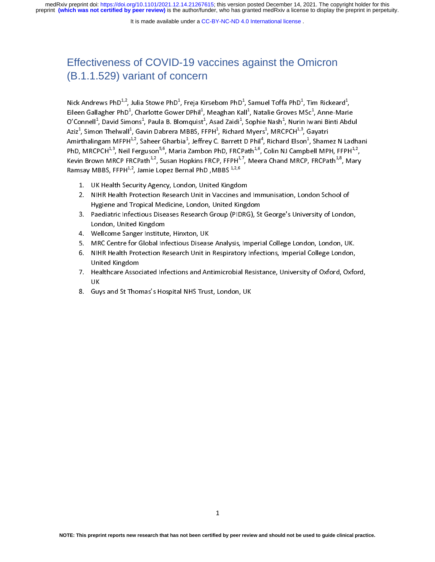# Effectiveness of COVID-19 vaccines against the Omicron (B.1.1.529) variant of concern

「I(//Fト Nick Andrews PhD<sup>4,2</sup>, Julia Stowe PhD<sup>4</sup>, Freja Kirsebom PhD<sup>4</sup>, Samuel Toffa PhD<sup>4</sup><br>Eileen Gallagher PhD<sup>1</sup>, Charlotte Gower DPhil<sup>1</sup>, Meaghan Kall<sup>1</sup>, Natalie Groves M<br>O'Connell<sup>1</sup>, David Simons<sup>1</sup>, Paula B. Blomquist<sup>1</sup> , Tim Rickeard<sup>+</sup><br>ISc<sup>1</sup>, Anne-Mar<br>1 Iwani Binti Ab<br>, Gayatri<br>n<sup>1</sup>, Shamez N L<sub>i</sub><br>pbell MPH, FFP<br>P, FRCPath<sup>1,8</sup>, N , ied<br>al<br>Л Eileen Gallagher PhD<sup>+</sup>, Charlotte Gower DPhil<sup>+</sup>, Meaghan Kall<sup>+</sup>, Natalie Groves MSc<sup>+</sup><br>O'Connell<sup>1</sup>, David Simons<sup>1</sup>, Paula B. Blomquist<sup>1</sup>, Asad Zaidi<sup>1</sup>, Sophie Nash<sup>1</sup>, Nurin Iw<br>Aziz<sup>1</sup>, Simon Thelwall<sup>1</sup>, Gavin Dabr ,<br>ani Binti Abdu<br>yatri<br>Shamez N Lad<br>II MPH, FFPH<sup>1</sup><br>RCPath<sup>1,8</sup>, Ma O'Connell<sup>+</sup>, David Simons<sup>+</sup>, Paula B. Blomquist<sup>+</sup>, Asad Zaidi<sup>+</sup>, Sophie Nash<sup>+</sup><br>Aziz<sup>1</sup>, Simon Thelwall<sup>1</sup>, Gavin Dabrera MBBS, FFPH<sup>1</sup>, Richard Myers<sup>1</sup>, MRC<br>Amirthalingam MFPH<sup>1,2</sup>, Saheer Gharbia<sup>1</sup>, Jeffrey C. Bar , Simon Thelwall<sup>1</sup>, Gavin Dabrera MBBS, FFPH<sup>1</sup>, Richard Myers<sup>1</sup>, MRCPCH<sup>1,3</sup>, Gayatri<br>thalingam MFPH<sup>1,2</sup>, Saheer Gharbia<sup>1</sup>, Jeffrey C. Barrett D Phil<sup>4</sup>, Richard Elson<sup>1</sup>, Shamez N Ladh.<br>MRCPCH<sup>1,3</sup>, Neil Ferguson<sup>5,</sup> Aziz\*<br>Amir<br>PhD,<br>Kevir<br>Ram:<br>1 Amirthalingam MFPH<sup>22</sup>, Saheer Gharbia<sup>2</sup>, Jeffrey C. Barrett D Phil<sup>2</sup>, Richard Elson<sup>2</sup>, Shamez N Ladhani<br>
PhD, MRCPCH<sup>1,3</sup>, Neil Ferguson<sup>5,6</sup>, Maria Zambon PhD, FRCPath<sup>1,6</sup>, Colin NJ Campbell MPH, FFPH<sup>1,2</sup>,<br>
Kevin Br

- 
- 2. NIHR Health Protection Research Unit in Vaccines and<br>Hygiene and Tropical Medicine, London, United Kingdom<br>3. Paediatric Infectious Diseases Research Group (PIDRC<br>London, United Kingdom<br>4. Wellcome Sanger Institute, Hin
- Kevin Brown MRCP FRCPath<sup>2,2</sup>, Susan Hopkins FRCP, FFPH<sup>2,7</sup>, Meera Chand MRCP, FRCPath<sup>2,3</sup>, Mary<br>Ramsay MBBS, FFPH<sup>1,2</sup>, Jamie Lopez Bernal PhD ,MBBS<sup>1,2,6</sup><br>1. UK Health Security Agency, London, United Kingdom<br>2. NIHR He Ramsay MBBS, FFPH<sup>212</sup>, Jamie Lopez Bernal PhD ,MBBS 212,<sup>6</sup><br>1. UK Health Security Agency, London, United Kingdo<br>2. NIHR Health Protection Research Unit in Vaccines a<br>Hygiene and Tropical Medicine, London, United Kir<br>3. Pa 2. NIMP and Tropical Medicine, London, United Kingdom<br>2. Paediatric Infectious Diseases Research Group (PIDRG), St George's University of Londo<br>2. Medicines Sanger Institute, Hinxton, UK<br>3. MRC Centre for Global Infectious Mediatric Infectious Diseases Research Group (PIDRG), St<br>London, United Kingdom<br>Wellcome Sanger Institute, Hinxton, UK<br>MRC Centre for Global Infectious Disease Analysis, Imperi<br>NIHR Health Protection Research Unit in Respi
	-
	-
	- **EMANA, ENTER MAGADIN**<br>
	Wellcome Sanger Institut<br>
	MRC Centre for Global Inf<br>
	NIHR Health Protection R<br>
	United Kingdom<br>
	Healthcare Associated Inf<br>
	UK<br>
	Guys and St Thomas's Ho 4. Wellcome Sanger Institute, Hinamics, 1914<br>1915 MRC Centre for Global Infectious Disease<br>1916 MIHR Health Protection Research Unit in<br>1917 Healthcare Associated Infections and An<br>1917 MK<br>1928 Mays and St Thomas's Hospita
	- 3. Paediatric Infectious Diseases Research Group (PIDRG), St George's University of London,<br>
	London, United Kingdom<br>
	4. Wellcome Sanger Institute, Hinxton, UK<br>
	5. MRC Centre for Global Infectious Disease Analysis, Imperial 5. NIHR Health Protection Research Unit in Respiratory Infections, Imperial College London,<br>United Kingdom<br>7. Healthcare Associated Infections and Antimicrobial Resistance, University of Oxford, Oxfor<br>UK. Guys and St Thoma 6. NIMENE RIM METHEM METHEM METHEM METHEM, METHEM, METHEM, METHEM 2013 2014.<br>1. Nihr Health Care Associated Infections and Antimicrobial Resistance, University of Oxford, Oxform<br>1. Guys and St Thomas's Hospital NHS Trust, The Thinghom<br>Healthcare Assoc<br>UK<br>Guys and St Thor UK<br>8. Guys and St Thomas's Hospital NHS Trust, London, UK<br>1. Healthcare Antioxides, Oxford, Oxford, Oxford, Oxford, Oxford, Oxford, Oxford, Oxford, Oxford, Oxford, Oxfor
	- Gu<sub>)</sub><br>— 8. Guys and St Thomas's Hospital NHS Trust, London, UK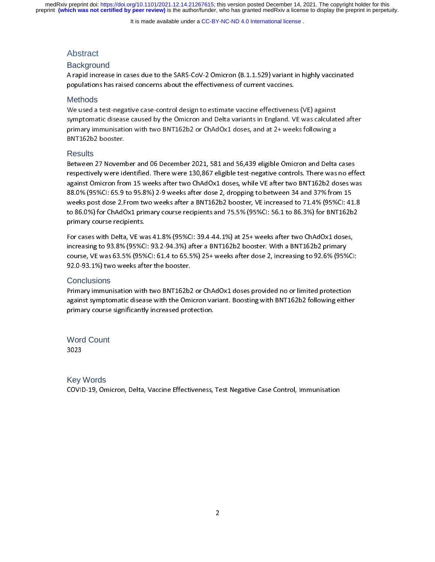It is made available under a [CC-BY-NC-ND 4.0 International license](http://creativecommons.org/licenses/by-nc-nd/4.0/) .

# Abstract

# **Background**

# **Methods**

populations has raised concerns about the effectiveness of current vaccines.<br>
Methods<br>
We used a test-negative case-control design to estimate vaccine effectiveness (VE) against<br>
symptomatic disease caused by the Omicron a Methods<br>We used a test-negative case-control design to estimate vaccine effectivenes<br>symptomatic disease caused by the Omicron and Delta variants in England. V<br>primary immunisation with two BNT162b2 or ChAdOx1 doses, and a symptomatic disease caused by the Omicron and Delta variants in England. VE was calculat<br>primary immunisation with two BNT162b2 or ChAdOx1 doses, and at 2+ weeks following a<br>BNT162b2 booster.<br>Results<br>between 27 November an

# **Results**

primary immunisation with two BNT162b2 or ChAdOx1 doses, and at 2+ weeks following a<br>BNT162b2 booster.<br>Results<br>Between 27 November and 06 December 2021, 581 and 56,439 eligible Omicron and Delta cases<br>respectively were ide primary 2021, 581 and 56,439 eligible Omicron and Delta<br>Petween 27 November and 06 December 2021, 581 and 56,439 eligible Omicron and Delta<br>respectively were identified. There were 130,867 eligible test-negative controls. Results<br>Between 27 Novem<br>respectively were id<br>against Omicron fro<br>88.0% (95%Cl: 65.9<br>weeks post dose 2.F<br>to 86.0%) for ChAdC respectively were identified. There were 130,867 eligible test-negative controls. There was no eff<br>against Omicron from 15 weeks after two ChAdOx1 doses, while VE after two BNT162b2 doses wi<br>88.0% (95%Cl: 65.9 to 95.8%) 2against Omicron from 15 weeks after two ChAdOx1 doses, while VE after two BNT162b2 doses was<br>88.0% (95%Cl: 65.9 to 95.8%) 2-9 weeks after dose 2, dropping to between 34 and 37% from 15<br>weeks post dose 2.From two weeks afte against Omicropy is a set of 95.8%) 2-9 weeks after dose 2, dropping to between 34 and 37% from 15 weeks post dose 2.From two weeks after a BNT162b2 booster, VE increased to 71.4% (95%Cl: 41.8 to 86.0%) for ChAdOx1 primary

examples after a BNT162b2 booster, VE increased to 71.4% (95%CI: 41<br>to 86.0%) for ChAdOx1 primary course recipients and 75.5% (95%CI: 56.1 to 86.3%) for BNT162b<br>primary course recipients.<br>For cases with Delta, VE was 41.8% to 86.0%) for ChAdOx1 primary course recipients and 75.5% (95%CI: 56.1 to 86.3%) for BNT162b2<br>primary course recipients.<br>For cases with Delta, VE was 41.8% (95%CI: 39.4-44.1%) at 25+ weeks after two ChAdOx1 doses,<br>increasi primary course recipients.<br>For cases with Delta, VE was 41.8% (95%CI: 39.4-44.1%) at 25+ weeks after two ChAdOx1 doses,<br>increasing to 93.8% (95%CI: 93.2-94.3%) after a BNT162b2 booster. With a BNT162b2 primary<br>course, VE w For cases with Delta, VE was<br>increasing to 93.8% (95%C)<br>course, VE was 63.5% (95%<br>92.0-93.1%) two weeks aft<br>Conclusions<br>Primary immunisation with For cases with Delta, Same Barry Alexander William Barry School increasing to 93.8% (95%CI: 93.2-94.3%) after a BNT162b2 booster. With a BNT162b2 primary course, VE was 63.5% (95%CI: 61.4 to 65.5%) 25+ weeks after dose 2,

# **Conclusions**

increasing to 93.8% (95%CI: 61.4 to 65.5%) 25+ weeks after dose 2, increasing to 92.6% (95%<br>92.0-93.1%) two weeks after the booster.<br>Conclusions<br>Primary immunisation with two BNT162b2 or ChAdOx1 doses provided no or limite 92.0-93.1%) two weeks after the booster.<br>Conclusions<br>Primary immunisation with two BNT162b2 or ChAdOx1 doses provided no or limited protection<br>against symptomatic disease with the Omicron variant. Boosting with BNT162b2 fo Conclusions<br>Primary immunisation with two BNT162b2<br>against symptomatic disease with the Omi<br>primary course significantly increased prot<br>Word Count against symptomatic disease with the Omicron variant. Boosting with BNT162b2 following eithe<br>primary course significantly increased protection.<br>Word Count<br>3023 against symptomatic distribution variant. Boosting with BNT162b2 following either<br>primary course significantly increased protection.<br>3023<br>MCC MMT162

primary course significantly increase protection.<br>Board<br>Key Words |<br>|<br>|<br>| Word Count

# ----<br>Key<br>covii  $\frac{1}{2}$ Key Words

COVID-19, Omicron, Delta, Vaccine Effectiveness, Test Negative Case Control, Immunisation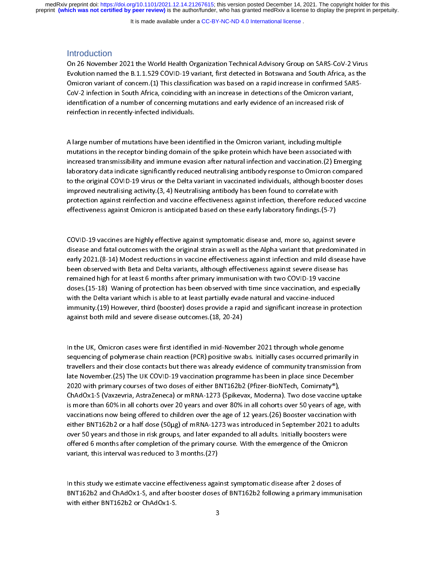It is made available under a [CC-BY-NC-ND 4.0 International license](http://creativecommons.org/licenses/by-nc-nd/4.0/) .

#### **Introduction**

Evolution named the B.1.1.529 COVID-19 variant, first detected in Botswana and South Africa, as the<br>Omicron variant of concern.(1) This classification was based on a rapid increase in confirmed SARS-<br>CoV-2 infection in Sou Omicron variant of concern (1) This classification was based on a rapid increase in confirmed SARS-CoV-2 infection in South Africa, coinciding with an increase in detections of the Omicron variant, identification of a numb

mutations in the receptor binding domain of the spike protein which have been associated with<br>increased transmissibility and immune evasion after natural infection and vaccination.(2) Emerging identification of a number of concerning mutations and early evidence of an increased risk of<br>reinfection in recently-infected individuals.<br>A large number of mutations have been identified in the Omicron variant, including identification of a number of anti-time of anti-time of anti-time of an increased risk of an<br>A large number of mutations have been identified in the Omicron variant, including multiple<br>mutations in the receptor binding dom remeated in recently-infected interaction<br>A large number of mutations have been ide<br>mutations in the receptor binding domain c<br>increased transmissibility and immune evas<br>laboratory data indicate significantly reduce<br>to the ノ「i」<br>II<br>Ii mutations in the receptor binding domain of the spike protein which have been associated w<br>increased transmissibility and immune evasion after natural infection and vaccination.(2) Em<br>laboratory data indicate significantly mutations in the receptor and impulse the replacement in the relation and vaccination. (2) Emergi<br>laboratory data indicate significantly reduced neutralising antibody response to Omicron compa<br>to the original COVID-19 viru increased to the original COVID-19 virus or the Delta variant in vaccinated individuals, although booster doses<br>timproved neutralising activity.(3, 4) Neutralising antibody has been found to correlate with<br>protection again to the original COVID-19 virus or the Delta variant in vaccinated individuals, although booster doses<br>improved neutralising activity (3, 4) Neutralising antibody has been found to correlate with<br>protection against reinfect to the original COVID-19 vaccines are highly effective against symptomatic disease and, more so, against severe<br>diffectiveness against Omicron is anticipated based on these early laboratory findings. (5-7)<br>COVID-19 vaccine

protection against reinfection and vaccine effectiveness against infection, therefore reduces<br>effectiveness against Omicron is anticipated based on these early laboratory findings.(5-7)<br>COVID-19 vaccines are highly effecti effectiveness against Omicron is anticipated based on these early laboratory findings. (5-7)<br>COVID-19 vaccines are highly effective against symptomatic disease and, more so, against severe<br>disease and fatal outcomes with t effectiveness against symptomatic disease and, more so, against symptomatic disease and, more so, against symptomatic disease and fatal outcomes with the original strain as well as the Alpha variant that predomearly 2021.( (くられる disease and fatal outcomes with the original strain as well as the Alpha variant that predominated<br>early 2021.(8-14) Modest reductions in vaccine effectiveness against infection and mild disease ha<br>been observed with Beta early 2021.(8-14) Modest reductions in vaccine effectiveness against infection and mild disease have<br>been observed with Beta and Delta variants, although effectiveness against severe disease has<br>remained high for at least early observed with Beta and Delta variants, although effectiveness against severe disease has<br>remained high for at least 6 months after primary immunisation with two COVID-19 vaccine<br>doses.(15-18) Waning of protection has been observed with the OCOVID-19 vaccine<br>doses.(15-18) Waning of protection has been observed with time since vaccination, and especi<br>with the Delta variant which is able to at least partially evade natural and vaccine-ind remainly mumipulary in the since vaccination, and esp<br>doses. (15-18) Waning of protection has been observed with time since vaccination, and esp<br>with the Delta variant which is able to at least partially evade natural and with the Delta variant which is able to at least partially evade natural and vaccine-induced<br>
immunity.(19) However, third (booster) doses provide a rapid and significant increase in protection<br>
against both mild and sever

immunity (19) However, third (booster) doses provide a rapid and significant increase in pr<br>against both mild and severe disease outcomes (18, 20-24)<br>In the UK, Omicron cases were first identified in mid-November 2021 thro immunity.<br>
In the UK, Omicron cases were first identified in mid-November 2021 through whole genome<br>
sequencing of polymerase chain reaction (PCR) positive swabs. Initially cases occurred primarily in<br>
travellers and their against both million of the million of the million of the UK, Omicron cases were first identified in mid-Novem<br>sequencing of polymerase chain reaction (PCR) positive swa<br>travellers and their close contacts but there was al |<br>| s|<br>| r4 (| In the UK, Omicroposity exacts were first intially cases occurred primari<br>
Intravellers and their close contacts but there was already evidence of community transmission<br>
late November (25) The UK COVID-19 vaccination prog sequency and their close contacts but there was already evidence of community transmission from<br>late November. (25) The UK COVID-19 vaccination programme has been in place since December<br>2020 with primary courses of two do late November. (25) The UK COVID-19 vaccination programme has been in place since December<br>2020 with primary courses of two doses of either BNT162b2 (Pfizer-BioNTech, Comirnaty®),<br>ChAdOx1-S (Vaxzevria, AstraZeneca) or mRNA 2020 with primary courses of two doses of either BNT162b2 (Pfizer-BioNTech, Comirnaty®),<br>ChAdOx1-S (Vaxzevria, AstraZeneca) or mRNA-1273 (Spikevax, Moderna). Two dose vaccine upta<br>is more than 60% in all cohorts over 20 ye 2021 with primary extra and thorst and over 1273 (Spikevax, Moderna). Two dose vaccine is more than 60% in all cohorts over 20 years and over 80% in all cohorts over 50 years of agreed to children over the age of 12 years is more than 60% in all cohorts over 20 years and over 80% in all cohorts over 50 years of age, with vaccinations now being offered to children over the age of 12 years. (26) Booster vaccination with either BNT162b2 or a h is more than 60% in all cohores over the age of 12 years. (26) Booster vaccination with<br>either BNT162b2 or a half dose (50µg) of mRNA-1273 was introduced in September 2021 to adults<br>over 50 years and those in risk groups, either BNT162b2 or a half dose (50µg) of mRNA-1273 was introduced in September 2021 to adults<br>over 50 years and those in risk groups, and later expanded to all adults. Initially boosters were<br>offered 6 months after complet over 50 years and those in risk groups, and later expanded to all adults. Initially boosters were<br>offered 6 months after completion of the primary course. With the emergence of the Omicron<br>variant, this interval was reduce

offered 6 months after completion of the primary course. With the emergence of the Omicron variant, this interval was reduced to 3 months.(27)<br>In this study we estimate vaccine effectiveness against symptomatic disease aft or the final monocompleted of the primary course. The emergence of the emergence of the primary variant, this interval was reduced to 3 months.(27)<br>In this study we estimate vaccine effectiveness against symptomatic diseas variantly in this study we estimate vaccine effectiveness againt<br>
BNT162b2 and ChAdOx1-S, and after booster doses<br>
with either BNT162b2 or ChAdOx1-S.<br>
3 |<br>|<br>| In this study we estimate the content of the symptom of the control of the BNT162b2 and ChAdOx1-S, and after booster doses of BNT162b2 following a primary immun with either BNT162b2 or ChAdOx1-S.<br>3 with either BNT162b2 or ChAdOx1-S, and a primary immunisation of BNT162b2 for ChAdOx1-S, and  $\frac{3}{2}$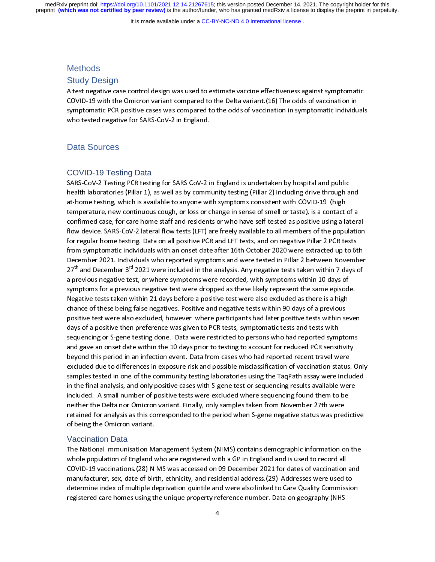It is made available under a [CC-BY-NC-ND 4.0 International license](http://creativecommons.org/licenses/by-nc-nd/4.0/) .

# **Methods**

#### Study Design

| (、/ ( s ) A text of the Omicron variant compared to the Delta variant. (16) The odds of vaccination in<br>Symptomatic PCR positive cases was compared to the odds of vaccination in symptomatic individuals<br>who tested negative for SARS-Co symptomatic PCR positive cases was compared to the odds of vaccination in symptomatic individu<br>who tested negative for SARS-CoV-2 in England.<br>Data Sources<br>COVID-19 Testing Data symptomatic PCR positive for SARS-CoV-2 in England.<br>
Data Sources<br>
COVID-19 Testing Data<br>
SARS-CoV-2 Testing PCR testing for SARS CoV-2 in England is undertaken by hospital and public

# Data Sources

# COVID-19 Testing Data

who tested negative for Marketted India<br>Data Sources<br>COVID-19 Testing Data<br>SARS-CoV-2 Testing PCR testing for SARS CoV-2 i<br>health laboratories (Pillar 1), as well as by comm ( ^ ^ ^ c ^ f ^ ^ f health laboratories (Pillar 1), as well as by community testing (Pillar 2) including drive through a<br>at-home testing, which is available to anyone with symptoms consistent with COVID-19 (high<br>temperature, new continuous co at-home testing, which is available to anyone with symptoms consistent with COVID-19 (high<br>temperature, new continuous cough, or loss or change in sense of smell or taste), is a contact of a<br>confirmed case, for care home s temperature, new continuous cough, or loss or change in sense of smell or taste), is a contact confirmed case, for care home staff and residents or who have self-tested as positive using a lation device. SARS-CoV-2 lateral confirmed case, for care home staff and residents or who have self-tested as positive using a latera<br>flow device. SARS-CoV-2 lateral flow tests (LFT) are freely available to all members of the population<br>for regular home Flow device. SARS-CoV-2 lateral flow tests (LFT) are freely available to all members of the population<br>for regular home testing. Data on all positive PCR and LFT tests, and on negative Pillar 2 PCR tests<br>from symptomatic i for regular home testing. Data on all positive PCR and LFT tests, and on negative Pillar 2 PCR tests<br>from symptomatic individuals with an onset date after 16th October 2020 were extracted up to 6th<br>December 2021. Individu From symptomatic individuals with an onset date after 16th October 2020 were extracted up to 6t<br>December 2021. Individuals who reported symptoms and were tested in Pillar 2 between November 27<sup>th</sup> and December 3<sup>rd</sup> 2021 w From 2021. Individuals who reported symptoms and were tested in Pillar 2 between November<br>27<sup>th</sup> and December 3<sup>rd</sup> 2021 were included in the analysis. Any negative tests taken within 7 days of<br>a previous negative test, or  $27<sup>th</sup>$  and December  $3<sup>rd</sup>$  2021 were included in the analysis. Any negative tests taken within 7 days of<br>a previous negative test, or where symptoms were recorded, with symptoms within 10 days of<br>symptoms for a p 27" and December 3" 2021 were included in the analysis. Any negative tests taken within 7 days of<br>a previous negative test, or where symptoms were recorded, with symptoms within 10 days of<br>symptoms for a previous negative a previous negative test were dropped as these likely represent the same episod<br>Negative tests taken within 21 days before a positive test were also excluded as there is a high<br>chance of these being false negatives. Positi Symptoms for these being false negatives. Positive test were also excluded as there is a high<br>chance of these being false negatives. Positive and negative tests within 90 days of a previous<br>positive test were also excluded Negative tests taken with the regatives. Positive and negative tests within 90 days of a previous<br>positive test were also excluded, however where participants had later positive tests within se<br>days of a positive then pref positive test were also excluded, however where participants had later positive tests within sedays of a positive then preference was given to PCR tests, symptomatic tests and tests with sequencing or S-gene testing done. positive then preference was given to PCR tests, symptomatic tests and tests with<br>sequencing or S-gene testing done. Data were restricted to persons who had reported symptoms<br>and gave an onset date within the 10 days prior sequencing or S-gene testing done. Data were restricted to persons who had reported symptom and gave an onset date within the 10 days prior to testing to account for reduced PCR sensitively ond this period in an infection sequencing or S-gene testing do the 10 days prior to testing to account for reduced PCR sensitivity<br>beyond this period in an infection event. Data from cases who had reported recent travel were<br>excluded due to differences beyond this period in an infection event. Data from cases who had reported recent travel were<br>excluded due to differences in exposure risk and possible misclassification of vaccination status. It<br>samples tested in one of t beyond the transformation exposure risk and possible misclassification of vaccination status.<br>
samples tested in one of the community testing laboratories using the TaqPath assay were inclu<br>
in the final analysis, and only samples tested in one of the community testing laboratories using the TaqPath assay were included<br>in the final analysis, and only positive cases with S-gene test or sequencing results available were<br>included. A small numbe in the final analysis, and only positive cases with S-gene test or sequencing results available were<br>included. A small number of positive tests were excluded where sequencing found them to be<br>neither the Delta nor Omicron included. A small number of positive tests were excluded where sequencing found them to be<br>neither the Delta nor Omicron variant. Finally, only samples taken from November 27th were<br>retained for analysis as this correspond included. A small number of positive tests were extended for analysis as this corresponded to the period when S-gene negative status was prediventaned for analysis as this corresponded to the period when S-gene negative st

#### Vaccination Data

retained for analysis as this corresponded to the period when S-gene negative status was prec<br>of being the Omicron variant.<br>The National Immunisation Management System (NIMS) contains demographic information o<br>whole popula retained for analysis are the extreme performance to the period when  $\sim$  gene negative status was prediction<br>of being the Omicron variant.<br>The National Immunisation Management System (NIMS) contains demographic informatio Vaccination Data<br>The National Immunisation M<br>whole population of England V<br>COVID-19 vaccinations.(28) NI<br>manufacturer, sex, date of bir<br>determine index of multiple d<br>registered care homes using tl whole population of England who are registered with a GP in England and is used to record all<br>COVID-19 vaccinations.(28) NIMS was accessed on 09 December 2021 for dates of vaccination and<br>manufacturer, sex, date of birth, COVID-19 vaccinations.(28) NIMS was accessed on 09 December 2021 for dates of vaccination<br>manufacturer, sex, date of birth, ethnicity, and residential address.(29) Addresses were used t<br>determine index of multiple deprivat manufacturer, sex, date of birth, ethnicity, and residential address.(29) Addresses were used to<br>determine index of multiple deprivation quintile and were also linked to Care Quality Commission<br>registered care homes using manufacturer, sex, date of multiply commissiyes manufacturer and were also linked to Care Quality Commission<br>determine index of multiple deprivation quintile and were also linked to Care Quality Commission<br>registered care determine index of multiple deprivation quintie and were also linked to Care Quality Commission<br>registered care homes using the unique property reference number. Data on geography (NHS)<br>4 registered care homes using the unique property reference number. Data on geography (NHS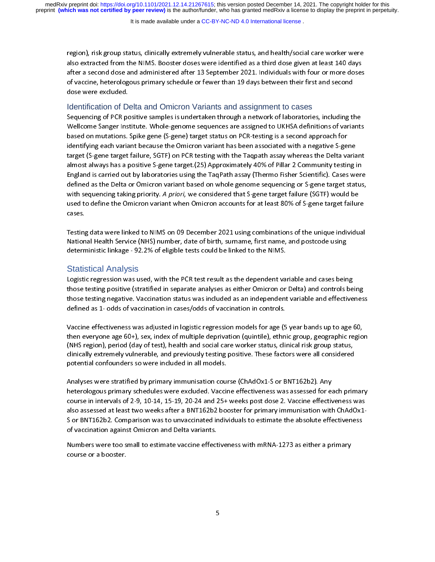It is made available under a [CC-BY-NC-ND 4.0 International license](http://creativecommons.org/licenses/by-nc-nd/4.0/) .

also extracted from the NIMS. Booster doses were identified as a third dose given at least 140 days<br>after a second dose and administered after 13 September 2021. Individuals with four or more doses<br>of vaccine, heterologous after a second dose and administered after 13 September 2021. Individuals with four or more doses<br>of vaccine, heterologous primary schedule or fewer than 19 days between their first and second<br>dose were excluded.<br>Identific

#### Identification of Delta and Omicron Variants and assignment to cases

of vaccine, heterologous primary schedule or fewer than 19 days between their first and second<br>dose were excluded.<br>Identification of Delta and Omicron Variants and assignment to cases<br>Sequencing of PCR positive samples is of vacancy of the principle principle principle in the protect than 19 days and dose were excluded.<br>
Identification of Delta and Omicron Variants and assignment to cases<br>
Sequencing of PCR positive samples is undertaken th Identification of Desequencing of PCR po<br>Sequencing of PCR po<br>Wellcome Sanger Insi<br>based on mutations.<br>identifying each varia<br>target (S-gene target<br>almost always has a p Sequencing of Periodic University of Periodic samples is undertaken through the WHSA definitions of variants<br>
based on mutations. Spike gene (S-gene) target status on PCR-testing is a second approach for<br>
identifying each Wellcome Sanger Institute. Suppose the UKHS decays are associated with a negative S-gene<br>identifying each variant because the Omicron variant has been associated with a negative S-gene<br>target (S-gene target failure, SGTF) identifying each variant because the Omicron variant has been associated with a negative S-gene<br>target (S-gene target failure, SGTF) on PCR testing with the Taqpath assay whereas the Delta va<br>almost always has a positive S identify (S-gene target failure, SGTF) on PCR testing with the Taqpath assay whereas the Delta varia<br>almost always has a positive S-gene target. (25) Approximately 40% of Pillar 2 Community testing i<br>England is carried out target (S-gene target failure) S-gene target (25) Approximately 40% of Pillar 2 Community testing in<br>almost always has a positive S-gene target (25) Approximately 40% of Pillar 2 Community testing in<br>England is carried out England is carried out by laboratories using the TaqPath assay (Thermo Fisher Scientific). Cases were<br>defined as the Delta or Omicron variant based on whole genome sequencing or S-gene target status<br>with sequencing taking England is the Delta or Omicron variant based on whole genome sequencing or S-gene target status,<br>with sequencing taking priority. *A priori*, we considered that S-gene target failure (SGTF) would be<br>used to define the Omi defined as the Delta or Omicron and S-gene target failure (SGTF) would be used to define the Omicron variant when Omicron accounts for at least 80% of S-gene target failure (same target status).<br>Cases.<br>Testing data were li

with sequencing taking priority. A priori, we considered that S-gene target failure (SGTF) would be<br>used to define the Omicron variant when Omicron accounts for at least 80% of S-gene target failur<br>cases.<br>Testing data were resting data were linked to NIMS on 09 December 2021 using combinations of the unique individual<br>National Health Service (NHS) number, date of birth, surname, first name, and postcode using<br>deterministic linkage - 92.2% of Testing<br>Nation<br>detern<br>Statis<br>Logisti<br>those t

# Statistical Analysis

National Health Service (NHS) number, date of birth, surname, first name, and postcode using<br>deterministic linkage - 92.2% of eligible tests could be linked to the NIMS.<br>Statistical Analysis<br>Logistic regression was used, w National Health Service (NHS) and Parkinsh, Surname, Markinsh, Surname, and postcode<br>
Statistical Analysis<br>
Logistic regression was used, with the PCR test result as the dependent variable and cases bein<br>
those testing pos Statistical Analysis<br>Logistic regression was used, with the PCR test result as the dependent va<br>those testing positive (stratified in separate analyses as either Omicron or<br>those testing negative. Vaccination status was in

those testing positive (stratified in separate analyses as either Omicron or Delta) and controls be<br>those testing negative. Vaccination status was included as an independent variable and effective<br>defined as 1- odds of vac those testing negative. Vaccination status was included as an independent variable and effectivenes<br>defined as 1- odds of vaccination in cases/odds of vaccination in controls.<br>Vaccine effectiveness was adjusted in logistic defined as 1- odds of vaccination in cases/odds of vaccination in controls.<br>Vaccine effectiveness was adjusted in logistic regression models for age (5 year bands up to age 60,<br>then everyone age 60+), sex, index of multipl Maccine effectiveness was adjusted in logistic regression models for age (5<br>then everyone age 60+), sex, index of multiple deprivation (quintile), ethn<br>(NHS region), period (day of test), health and social care worker stat Then everyone age 60+), sex, index of multiple deprivation (quintile), ethnic group, geographic regio<br>(NHS region), period (day of test), health and social care worker status, clinical risk group status,<br>clinically extreme

(NHS region), period (day of test), health and social care worker status, clinical risk group status,<br>(IMES region), period (day of test), health and social care worker status, clinical risk group status,<br>clinically extrem (MH) PERTER (MP) 2022), MEMIN WARD VESTIFY DENTERTY THING (Day Christman Color)<br>Clinically extremely vulnerable, and previously testing positive. These factors were all considered<br>potential confounders so were included in potential confounders so were included in all models.<br>Analyses were stratified by primary immunisation course (ChAdOx1-S or BNT162b2). Any<br>heterologous primary schedules were excluded. Vaccine effectiveness was assessed fo Premium confounders is interminial and internation counselerations of all models were excluded. Vaccinourse in intervals of 2-9, 10-14, 15-19, 20-24 and 25+<br>also assessed at least two weeks after a BNT162b2 books or BNT162 Analysia were excluded. Vaccine effectiveness was assessed for example in intervals of 2-9, 10-14, 15-19, 20-24 and 25+ weeks post dose 2. Vaccine effectivalso assessed at least two weeks after a BNT162b2 booster for prima heterologous primary course in intervals of 2-9, 10-14, 15-19, 20-24 and 25+ weeks post dose 2. Vaccine effectiveness was also assessed at least two weeks after a BNT162b2 booster for primary immunisation with ChAdOx1-S or also assessed at least two weeks after a BNT162b2 booster for primary immunisation with ChAdOx1-<br>S or BNT162b2. Comparison was to unvaccinated individuals to estimate the absolute effectiveness<br>of vaccination against Omicr S or BNT162b2. Comparison was to unvaccinated individuals to estimate the absolute effectiveness<br>of vaccination against Omicron and Delta variants.<br>Numbers were too small to estimate vaccine effectiveness with mRNA-1273 as

S or Backmann and Source individuals to the absolute of vaccination against Omicron and Delta variants.<br>Numbers were too small to estimate vaccine effectiveness with mRNA-1273 as either a primary<br>course or a booster. of vacantiers against China china Constantinum<br>Numbers were too small to estimate vaccine effect<br>course or a booster. Numbers were too small to estimate vacancies with many states with many states with many states with many states with many states with many states with many states with many states with many states with many states with ma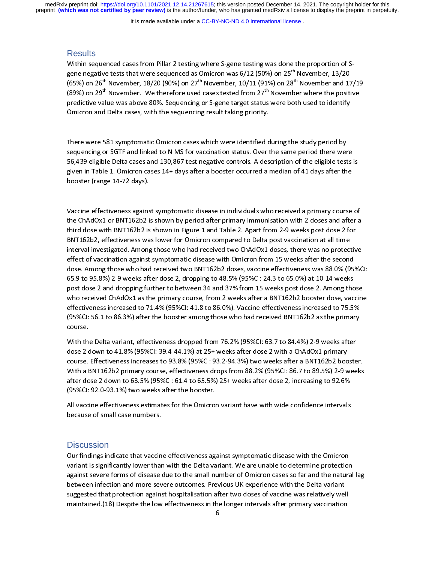It is made available under a [CC-BY-NC-ND 4.0 International license](http://creativecommons.org/licenses/by-nc-nd/4.0/) .

#### **Results**

Within sequenced cases from Pillar 2 testing where S-gene testing was done the proportion of Sgene negative tests that were sequenced as Omicron was 6/12 (50%) on 25<sup>th</sup> November, 13/20<br>(65%) on 26<sup>th</sup> November, 18/20 (90%) on 27<sup>th</sup> November, 10/11 (91%) on 28<sup>th</sup> November and 17<br>(89%) on 29<sup>th</sup> November. We ther (65%) on 26" November, 18/20 (90%) on 27" November, 10/11 (91%) on 28" November and 17/19<br>(89%) on 29<sup>th</sup> November. We therefore used cases tested from 27<sup>th</sup> November where the positive<br>predictive value was above 80%. Seq

There were 581 symptomatic Omicron cases which were identified during the study period by (89%) on 29" November. We therefore used cases tested from 27" November where the positive<br>predictive value was above 80%. Sequencing or S-gene target status were both used to identify<br>Omicron and Delta cases, with the seq predictive value above 80%. Set the sequencing result taking priority.<br>
There were 581 symptomatic Omicron cases which were identified during the study period by<br>
sequencing or SGTF and linked to NIMS for vaccination statu There were 581 symptomatic Omicron cases which were identified d<br>sequencing or SGTF and linked to NIMS for vaccination status. Over t<br>56,439 eligible Delta cases and 130,867 test negative controls. A des<br>given in Table 1. ך<br>}<br>}} sequencing or SGTF and linked to NIMS for vaccination status. Over the same period there wer<br>56,439 eligible Delta cases and 130,867 test negative controls. A description of the eligible test<br>given in Table 1. Omicron case sequencially be Delta cases and 130,867 test negative controls. A description of the eligible tests<br>given in Table 1. Omicron cases 14+ days after a booster occurred a median of 41 days after the<br>booster (range 14-72 days)

Siyer Engative Entrancement Engative Controls. The eligible Delta cases and a delta cases and the booster (range 14-72 days).<br>
Uncoine effectiveness against symptomatic disease in individuals who received a primary course booster (range 14-72 days).<br>Vaccine effectiveness against symptomatic disease in individuals who received a primary course<br>the ChAdOx1 or BNT162b2 is shown by period after primary immunisation with 2 doses and afte<br>third d booster (range 24-72 days).<br>
Vaccine effectiveness agains<br>
the ChAdOx1 or BNT162b2 is<br>
third dose with BNT162b2 is<br>
BNT162b2, effectiveness wa<br>
interval investigated. Among \ttle:<br>c The ChAdOx1 or BNT162b2 is shown by period after primary immunisation with 2 doses and after a<br>third dose with BNT162b2 is shown in Figure 1 and Table 2. Apart from 2-9 weeks post dose 2 for<br>BNT162b2, effectiveness was low third dose with BNT162b2 is shown in Figure 1 and Table 2. Apart from 2-9 weeks post dose 2 for<br>BNT162b2, effectiveness was lower for Omicron compared to Delta post vaccination at all time<br>interval investigated. Among thos BNT162b2, effectiveness was lower for Omicron compared to Delta post vaccination at all time<br>interval investigated. Among those who had received two ChAdOx1 doses, there was no protectiv<br>effect of vaccination against symp interval investigated. Among those who had received two ChAdOx1 doses, there was no protect<br>effect of vaccination against symptomatic disease with Omicron from 15 weeks after the second<br>dose. Among those who had received t interval investigated manning diverting the state of the Charlotter of vaccination against symptomatic disease with Omicron from 15 weeks after the second<br>dose. Among those who had received two BNT162b2 doses, vaccine effe dose. Among those who had received two BNT162b2 doses, vaccine effectiveness was 88.0% (95<br>65.9 to 95.8%) 2-9 weeks after dose 2, dropping to 48.5% (95%CI: 24.3 to 65.0%) at 10-14 weeks<br>post dose 2 and dropping further to 1980. Among those. Among those who had received BNT162b2 as the primary course.<br>
Among those 2 and dropping further to between 34 and 37% from 15 weeks post dose 2. Among those<br>
who received ChAdOx1 as the primary course, For 11 see 2 and dropping further to between 34 and 37% from 15 weeks post dose 2. Among tho<br>who received ChAdOx1 as the primary course, from 2 weeks after a BNT162b2 booster dose, vace<br>effectiveness increased to 71.4% (95 who received ChAdOx1 as the primary course, from 2 weeks after a BNT162b2 booster dose, vaccine<br>effectiveness increased to 71.4% (95%CI: 41.8 to 86.0%). Vaccine effectiveness increased to 75.5%<br>(95%CI: 56.1 to 86.3%) after

effectiveness increased to 71.4% (95%CI: 41.8 to 86.0%). Vaccine effectiveness increased to 75.5%<br>(95%CI: 56.1 to 86.3%) after the booster among those who had received BNT162b2 as the primary<br>course.<br>With the Delta variant (95%Cl: 56.1 to 86.3%) after the booster among those who had received BNT162b2 as the primary<br>course.<br>With the Delta variant, effectiveness dropped from 76.2% (95%CI: 63.7 to 84.4%) 2-9 weeks after<br>dose 2 down to 41.8% (95 (95%CI: 92.0-93.1%) two weeks after the booster.<br>
With the Delta variant, effectiveness dropped from 76.2% (95%CI: 63.7 to 84.4%) 2-9 weeks after<br>
dose 2 down to 41.8% (95%CI: 39.4-44.1%) at 25+ weeks after dose 2 with a C With the<br>dose 2 course.<br>With a E<br>after do<br>(95%Cl: With a BNT162b2 primary course. Effectiveness increases to 93.8% (95%CI: 93.2-94.3%) two weeks after a BNT162b2 booste<br>
With a BNT162b2 primary course, effectiveness drops from 88.2% (95%CI: 86.7 to 89.5%) 2-9 wee<br>
after d dourse. Effectiveness increases to 93.8% (95%CI: 93.2-94.3%) two weeks after a BNT162b2 book With a BNT162b2 primary course, effectiveness drops from 88.2% (95%CI: 86.7 to 89.5%) 2-9 wafter dose 2 down to 63.5% (95%CI: 61. With a BNT162b2 primary course, effectiveness drops from 88.2% (95%CI: 86.7 to 89.5%) 2-9 weeks after dose 2 down to 63.5% (95%CI: 61.4 to 65.5%) 25+ weeks after dose 2, increasing to 92.6%<br>(95%CI: 92.0-93.1%) two weeks af With a Burdelline primary course, effectiveness after discussion (95%CI: 92.0-93.1%) two weeks after the booster.<br>(95%CI: 92.0-93.1%) two weeks after the booster.<br>All vaccine effectiveness estimates for the Omicron variant

(95%CI: 92.0-93.1%) two weeks after the booster.<br>All vaccine effectiveness estimates for the Omicron variant have with wide confidence intervals<br>because of small case numbers.<br>Discussion<br>Our findings indicate that vaccine (95%CI: 92.0-93.1%) two weeks after the booster.

# **Discussion**

Moreouse of small case numbers.<br>All vacations of small case numbers.<br>All vacations of small case that vaccine effectiveness against symptomatic disease with the Omicron<br>variant is significantly lower than with the Delta va Discussion<br>Our findings indicate that vaccin<br>variant is significantly lower thar<br>against severe forms of disease<br>between infection and more sev |<br>| ( \<br>c || Duration is significantly lower than with the Delta variant. We are unable to determine protection against severe forms of disease due to the small number of Omicron cases so far and the natural<br>between infection and more variant is significantly for the small number of Omicron cases so far and the natural<br>against severe forms of disease due to the small number of Omicron cases so far and the natural<br>between infection and more severe outcom against series of the severe forms of the severe infection and more severe outcomes. Previous UK experience with the Delta variant suggested that protection against hospitalisation after two doses of vaccine was relatively suggested that protection against hospitalisation after two doses of vaccine was relatively wel<br>maintained. (18) Despite the low effectiveness in the longer intervals after primary vaccination<br>6 suggests that protectiveness in the longer intervals after primary vaccination of vacantum of vaccine was relatively well of variation was relatively well of variation was relatively well as the value of variation of varia  $\frac{1}{6}$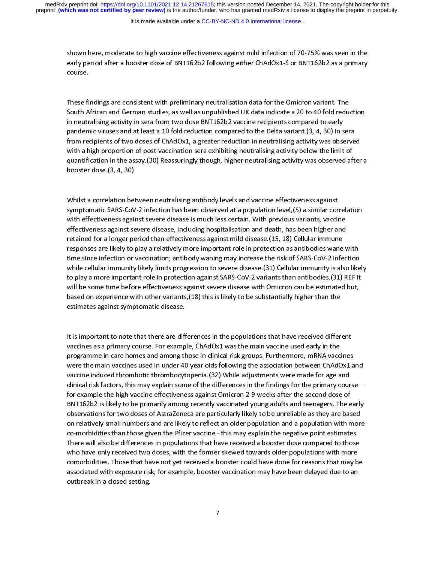It is made available under a [CC-BY-NC-ND 4.0 International license](http://creativecommons.org/licenses/by-nc-nd/4.0/) .

early period after a booster dose of BNT162b2 following either ChAdOx1-S or BNT162b2 as a primary<br>course.<br>These findings are consistent with preliminary neutralisation data for the Omicron variant. The<br>South African and Ge Figures.<br>These findings are consistent with preliminary neutralisation data for the Omicron variant. The<br>South African and German studies, as well as unpublished UK data indicate a 20 to 40 fold reduction<br>in neutralising a These fi<br>South A<br>in neutr<br>pandem<br>from re South African and German studies, as well as unpublished UK data indicate a 20 to 40 fold redu<br>in neutralising activity in sera from two dose BNT162b2 vaccine recipients compared to early<br>pandemic viruses and at least a 10 in neutralising activity in sera from two dose BNT162b2 vaccine recipients compared to early<br>pandemic viruses and at least a 10 fold reduction compared to the Delta variant.(3, 4, 30) In sera<br>from recipients of two doses o in neutralising activity in the state and of the distribution compared to the Delta variant. (3, 4, 30) In s<br>from recipients of two doses of ChAdOx1, a greater reduction in neutralising activity was observed<br>with a high pr particular in the state of the does of ChAdOx1, a greater reduction in neutralising activity was observe<br>with a high proportion of post-vaccination sera exhibiting neutralising activity below the limit of<br>quantification in with a high proportion of post-vaccination sera exhibiting neutralising activity below the limit of<br>quantification in the assay.(30) Reassuringly though, higher neutralising activity was observed after<br>booster dose.(3, 4,

which a high proportion of post-vacant and the alternation of post-vaccination of the assay.<br>
dependence of poster dose. (3, 4, 30)<br>
Whilst a correlation between neutralising antibody levels and vaccine effectiveness again booster dose.(3, 4, 30)<br>Whilst a correlation between neutralising antibody levels and vaccine effectiveness against<br>symptomatic SARS-CoV-2 infection has been observed at a population level,(5) a similar correlation<br>with e Whilst a correlation bet<br>symptomatic SARS-CoV<br>with effectiveness again<br>effectiveness against se<br>retained for a longer pe ) S V 6 F F symptomatic SARS-CoV-2 infection has been observed at a population level, (5) a similar correlation effectiveness against severe disease is much less certain. With previous variants, vaccine effectiveness against severe di sympth effectiveness against severe disease is much less certain. With previous variants, vaccine<br>effectiveness against severe disease, including hospitalisation and death, has been higher and<br>retained for a longer period effectiveness against severe disease, including hospitalisation and death, has been higher and<br>retained for a longer period than effectiveness against mild disease.(15, 18) Cellular immune<br>responses are likely to play a re retained for a longer period than effectiveness against mild disease. (15, 18) Cellular immune<br>responses are likely to play a relatively more important role in protection as antibodies wane v<br>time since infection or vaccin responses are likely to play a relatively more important role in protection as antibodies wane<br>time since infection or vaccination; antibody waning may increase the risk of SARS-CoV-2 infe<br>while cellular immunity likely li responses infection or vaccination; antibody waning may increase the risk of SARS-CoV-2 infection<br>while cellular immunity likely limits progression to severe disease. (31) Cellular immunity is also like<br>to play a more impo while cellular immunity likely limits progression to severe disease.(31) Cellular immunity is also like<br>to play a more important role in protection against SARS-CoV-2 variants than antibodies.(31) REF It<br>will be some time to play a more important role in protection against SARS-CoV-2 variants than antibodies.(31) REF It<br>will be some time before effectiveness against severe disease with Omicron can be estimated but,<br>based on experience with will be some time before effectiveness against severe disease with Omicron can be estimated but,<br>based on experience with other variants,(18) this is likely to be substantially higher than the<br>estimates against symptomatic

based on experience with other variants, (18) this is likely to be substantially higher than the<br>estimates against symptomatic disease.<br>It is important to note that there are differences in the populations that have recei based on extimates against symptomatic disease.<br>
It is important to note that there are differences in the populations that have received differ<br>
vaccines as a primary course. For example, ChAdOx1 was the main vaccine used estimates against symptomatic disease.<br>It is important to note that there are differences as a primary course. For examp<br>programme in care homes and among the<br>were the main vaccines used in under 40<br>vaccine induced thrombo | \<br>| F<br>| C<br>| f vaccines as a primary course. For example, ChAdOx1 was the main vaccine used early in the<br>programme in care homes and among those in clinical risk groups. Furthermore, mRNA vaccines<br>were the main vaccines used in under 40 programme in care homes and among those in clinical risk groups. Furthermore, mRNA vacce<br>were the main vaccines used in under 40 year olds following the association between ChAdC<br>vaccine induced thrombotic thrombocytopenia programme in vaccines used in under 40 year olds following the association between ChAdOx1 a<br>vaccine induced thrombotic thrombocytopenia. (32) While adjustments were made for age and<br>clinical risk factors, this may explain waccine induced thrombotic thrombocytopenia. (32) While adjustments were made for age and<br>clinical risk factors, this may explain some of the differences in the findings for the primary course –<br>for example the high vaccin vacant induced the high vaccine of the differences in the findings for the primary cour-<br>for example the high vaccine effectiveness against Omicron 2-9 weeks after the second dose of<br>BNT162b2 is likely to be primarily amon For example the high vaccine effectiveness against Omicron 2-9 weeks after the second dose of<br>BNT162b2 is likely to be primarily among recently vaccinated young adults and teenagers. The early<br>observations for two doses of BNT162b2 is likely to be primarily among recently vaccinated young adults and teenagers. The e<br>observations for two doses of AstraZeneca are particularly likely to be unreliable as they are bas<br>on relatively small numbers observations for two doses of AstraZeneca are particularly likely to be unreliable as they are based<br>on relatively small numbers and are likely to reflect an older population and a population with more<br>co-morbidities than on relatively small numbers and are likely to reflect an older population and a population with more<br>co-morbidities than those given the Pfizer vaccine - this may explain the negative point estimates.<br>There will also be di From and are likely to relative the Philosophers and are likely population the negative point estimates.<br>There will also be differences in populations that have received a booster dose compared to those<br>who have only recei There will also be differences in populations that have received a booster dose compared to those<br>who have only received two doses, with the former skewed towards older populations with more<br>comorbidities. Those that have Who have only received two doses, with the former skewed towards older populations with more<br>comorbidities. Those that have not yet received a booster could have done for reasons that may be<br>associated with exposure risk, comorbidities. Those that have not yet received a booster could have done for reasons that may b<br>associated with exposure risk, for example, booster vaccination may have been delayed due to an<br>outbreak in a closed setting. associated with exposure risk, for example, booster vaccination may have been delayed due to an<br>outbreak in a closed setting.<br>7 associated with exposure risk, for example, booster vacanties, for example, booster vaccination may have been<br>outbreak in a closed setting. outbreak in a closed setting.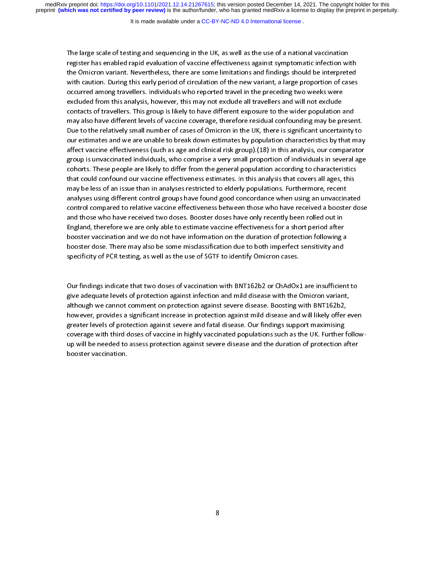It is made available under a [CC-BY-NC-ND 4.0 International license](http://creativecommons.org/licenses/by-nc-nd/4.0/) .

register has enabled rapid evaluation of vaccine effectiveness against symptomatic infection wi<br>the Omicron variant. Nevertheless, there are some limitations and findings should be interpret<br>with caution. During this early the Omicron variant. Nevertheless, there are some limitations and findings should be interpreted<br>with caution. During this early period of circulation of the new variant, a large proportion of cases<br>occurred among travelle with caution. During this early period of circulation of the new variant, a large proportion of cases<br>occurred among travellers. Individuals who reported travel in the preceding two weeks were<br>excluded from this analysis, which caution. During this early period in the new various period of the new various period of from this analysis, however, this may not exclude all travellers and will not exclude<br>contacts of travellers. This group is lik occulated from this analysis, however, this may not exclude all travellers and will not exclude<br>contacts of travellers. This group is likely to have different exposure to the wider population a<br>may also have different leve contacts of travellers. This group is likely to have different exposure to the wider population and also have different levels of vaccine coverage, therefore residual confounding may be prove to the relatively small number contacts of the relatively small number of cases of Omicron in the UK, there is significant uncertainty<br>Due to the relatively small number of cases of Omicron in the UK, there is significant uncertainty<br>our estimates and w Due to the relatively small number of cases of Omicron in the UK, there is significant uncertainty to<br>our estimates and we are unable to break down estimates by population characteristics by that may<br>affect vaccine effecti our estimates and we are unable to break down estimates by population characteristics by that may<br>affect vaccine effectiveness (such as age and clinical risk group).(18) In this analysis, our comparator<br>group is unvaccinat affect vaccine effectiveness (such as age and clinical risk group).(18) In this analysis, our comparator<br>group is unvaccinated individuals, who comprise a very small proportion of individuals in several age<br>cohorts. These affective vaccinated individuals, who comprise a very small proportion of individuals in several age cohorts. These people are likely to differ from the general population according to characteristics that could confound o group is understanded in the general population according to characteristics<br>that could confound our vaccine effectiveness estimates. In this analysis that covers all ages, this<br>may be less of an issue than in analyses res Extrared Confound our vaccine effectiveness estimates. In this analysis that covers all ages, this<br>may be less of an issue than in analyses restricted to elderly populations. Furthermore, recent<br>analyses using different co may be less of an issue than in analyses restricted to elderly populations. Furthermore, recent<br>analyses using different control groups have found good concordance when using an unvaccinate<br>control compared to relative vac may be using different control groups have found good concordance when using an unvaccin-<br>control compared to relative vaccine effectiveness between those who have received a booste<br>and those who have received two doses. B analyses using interest tends of perpertance of get ween those who have received a booster dosent dosand those who have received two doses. Booster doses have only recently been rolled out in England, therefore we are only control compared to relative vaccines. Booster doses have only recently been rolled out in<br>England, therefore we are only able to estimate vaccine effectiveness for a short period after<br>booster vaccination and we do not ha England, therefore we are only able to estimate vaccine effectiveness for a short period after<br>booster vaccination and we do not have information on the duration of protection following<br>booster dose. There may also be some England, therefore we are only able to the information on the duration of protection following a<br>booster dose. There may also be some misclassification due to both imperfect sensitivity and<br>specificity of PCR testing, as w

booster dose. There may also be some misclassification due to both imperfect sensitivity and<br>specificity of PCR testing, as well as the use of SGTF to identify Omicron cases.<br>Our findings indicate that two doses of vaccina specificity of PCR testing, as well as the use of SGTF to identify Omicron cases.<br>
Our findings indicate that two doses of vaccination with BNT162b2 or ChAdOx1 are insufficier<br>
give adequate levels of protection against in Specificity of Prototom, as well as the use of Prototom, Prototom cases.<br>Spice adequate levels of protection against infection and mild disease with the C<br>although we cannot comment on protection against severe disease. Bo ( きょり Figure adequate levels of protection against infection and mild disease with the Omicron variant, although we cannot comment on protection against severe disease. Boosting with BNT162b2, however, provides a significant inc given although we cannot comment on protection against severe disease. Boosting with BNT162b2, however, provides a significant increase in protection against mild disease and will likely offer e<br>greater levels of protectio however, provides a significant increase in protection against mild disease and will likely offer<br>greater levels of protection against severe and fatal disease. Our findings support maximising<br>coverage with third doses of greater levels of protection against severe and fatal disease. Our findings support maximising<br>coverage with third doses of vaccine in highly vaccinated populations such as the UK. Further follow<br>up will be needed to asses greater with third doses of vaccine in highly vaccinated populations such as the UK. Further is<br>up will be needed to assess protection against severe disease and the duration of protection a<br>booster vaccination. up will be needed to assess protection and the duration and the duration and the duration of protection after<br>the duration of protection after the duration of protection after the duration after the duration of protection<br>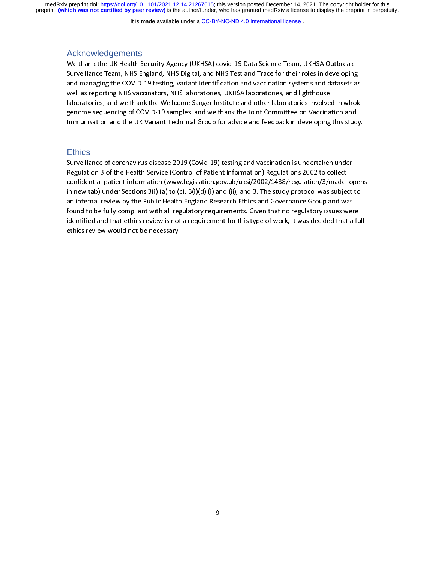It is made available under a [CC-BY-NC-ND 4.0 International license](http://creativecommons.org/licenses/by-nc-nd/4.0/) .

# Acknowledgements

Surveillance Team, NHS England, NHS Digital, and NHS Test and Trace for their roles in developing<br>and managing the COVID-19 testing, variant identification and vaccination systems and datasets a<br>well as reporting NHS vacci and managing the COVID-19 testing, variant identification and vaccination systems and datasets as<br>well as reporting NHS vaccinators, NHS laboratories, UKHSA laboratories, and lighthouse<br>laboratories; and we thank the Wellc and managing the NHS vaccinators, NHS laboratories, UKHSA laboratories, and lighthouse<br>laboratories; and we thank the Wellcome Sanger Institute and other laboratories involved in whole<br>genome sequencing of COVID-19 samples laboratories; and we thank the Wellcome Sanger Institute and other laboratories involve<br>genome sequencing of COVID-19 samples; and we thank the Joint Committee on Vaccina<br>Immunisation and the UK Variant Technical Group for

# **Ethics**

Laboratories; and we thank the Joint Committee and Vaccination and<br>Immunisation and the UK Variant Technical Group for advice and feedback in developing this study.<br>Ethics<br>Surveillance of coronavirus disease 2019 (Covid-19 genome sequencing of Covid-19 samples; and the Johnnon Committee on Vacantial and the UK Variant Technical Group for advice and feedback in developing this student<br>Ethics<br>Surveillance of coronavirus disease 2019 (Covid-19) Ethics<br>Surveillance of coronavirus disease 2019 (Covid-19) testing and vaccination is undertaken under<br>Regulation 3 of the Health Service (Control of Patient Information) Regulations 2002 to collect<br>confidential patient in |<br>| c<br>| c<br>| c Regulation 3 of the Health Service (Control of Patient Information) Regulations 2002 to collect<br>confidential patient information (www.legislation.gov.uk/uksi/2002/1438/regulation/3/made. o<br>in new tab) under Sections 3(i) ( regulation 3 of the Health Service (WWW.legislation.gov.uk/uksi/2002/1438/regulation/3/made.<br>
in new tab) under Sections 3(i) (a) to (c), 3(i)(d) (i) and (ii), and 3. The study protocol was subjet<br>
an internal review by th confidential patient sections 3(i) (a) to (c), 3(i)(d) (i) and (ii), and 3. The study protocol was subject to<br>an internal review by the Public Health England Research Ethics and Governance Group and was<br>found to be fully c an internal review by the Public Health England Research Ethics and Governance Group and was<br>found to be fully compliant with all regulatory requirements. Given that no regulatory issues were<br>identified and that ethics rev found to be fully compliant with all regulatory requirements. Given that no regulatory issues were<br>identified and that ethics review is not a requirement for this type of work, it was decided that a<br>ethics review would not identified and that ethics review is not a requirement for this type of work, it was decided that a functions review would not be necessary. is the thics review would not be necessary.<br> $\frac{1}{\sqrt{1-\frac{1}{\sqrt{1-\frac{1}{\sqrt{1-\frac{1}{\sqrt{1-\frac{1}{\sqrt{1-\frac{1}{\sqrt{1-\frac{1}{\sqrt{1-\frac{1}{\sqrt{1-\frac{1}{\sqrt{1-\frac{1}{\sqrt{1-\frac{1}{\sqrt{1-\frac{1}{\sqrt{1-\frac{1}{\sqrt{1-\frac{1}{\sqrt{1-\frac{1}{\sqrt{1-\frac{1}{\sqrt{1-\frac{1}{\sqrt{1-\frac{1}{\sqrt{1-\frac{1}{\sqrt{1-\frac{1}{\$ ethics review would not be necessary.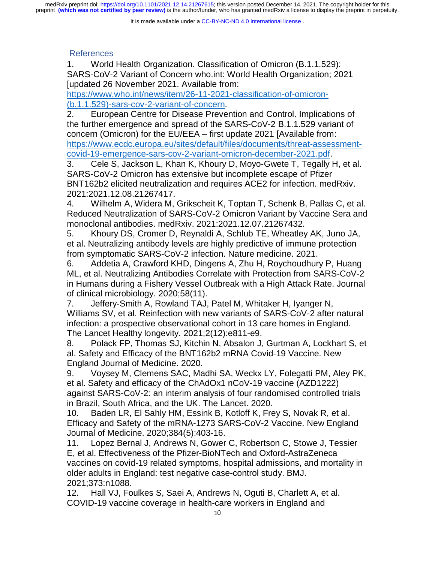It is made available under a CC-BY-NC-ND 4.0 International license.

# References

1. World Health Organization. Classification of Omicron (B.1.1.529): SARS-CoV-2 Variant of Concern who.int: World Health Organization; 2021 [updated 26 November 2021. Available from:

https://www.who.int/news/item/26-11-2021-classification-of-omicron- (b.1.1.529)-sars-cov-2-variant-of-concern.

2. European Centre for Disease Prevention and Control. Implications of the further emergence and spread of the SARS-CoV-2 B.1.1.529 variant of concern (Omicron) for the EU/EEA – first update 2021 [Available from: https://www.ecdc.europa.eu/sites/default/files/documents/threat-assessmentcovid-19-emergence-sars-cov-2-variant-omicron-december-2021.pdf.

3. Cele S, Jackson L, Khan K, Khoury D, Moyo-Gwete T, Tegally H, et al. SARS-CoV-2 Omicron has extensive but incomplete escape of Pfizer BNT162b2 elicited neutralization and requires ACE2 for infection. medRxiv. 2021:2021.12.08.21267417.

4. Wilhelm A, Widera M, Grikscheit K, Toptan T, Schenk B, Pallas C, et al. Reduced Neutralization of SARS-CoV-2 Omicron Variant by Vaccine Sera and monoclonal antibodies. medRxiv. 2021:2021.12.07.21267432.

5. Khoury DS, Cromer D, Reynaldi A, Schlub TE, Wheatley AK, Juno JA, et al. Neutralizing antibody levels are highly predictive of immune protection from symptomatic SARS-CoV-2 infection. Nature medicine. 2021.

6. Addetia A, Crawford KHD, Dingens A, Zhu H, Roychoudhury P, Huang ML, et al. Neutralizing Antibodies Correlate with Protection from SARS-CoV-2 in Humans during a Fishery Vessel Outbreak with a High Attack Rate. Journal of clinical microbiology. 2020;58(11).

7. Jeffery-Smith A, Rowland TAJ, Patel M, Whitaker H, Iyanger N, Williams SV, et al. Reinfection with new variants of SARS-CoV-2 after natural infection: a prospective observational cohort in 13 care homes in England. The Lancet Healthy longevity. 2021;2(12):e811-e9.

8. Polack FP, Thomas SJ, Kitchin N, Absalon J, Gurtman A, Lockhart S, et al. Safety and Efficacy of the BNT162b2 mRNA Covid-19 Vaccine. New England Journal of Medicine. 2020.

9. Voysey M, Clemens SAC, Madhi SA, Weckx LY, Folegatti PM, Aley PK, et al. Safety and efficacy of the ChAdOx1 nCoV-19 vaccine (AZD1222) against SARS-CoV-2: an interim analysis of four randomised controlled trials in Brazil, South Africa, and the UK. The Lancet. 2020.

10. Baden LR, El Sahly HM, Essink B, Kotloff K, Frey S, Novak R, et al. Efficacy and Safety of the mRNA-1273 SARS-CoV-2 Vaccine. New England Journal of Medicine. 2020;384(5):403-16.

11. Lopez Bernal J, Andrews N, Gower C, Robertson C, Stowe J, Tessier E, et al. Effectiveness of the Pfizer-BioNTech and Oxford-AstraZeneca vaccines on covid-19 related symptoms, hospital admissions, and mortality in older adults in England: test negative case-control study. BMJ. 2021;373:n1088.

12. Hall VJ, Foulkes S, Saei A, Andrews N, Oguti B, Charlett A, et al. COVID-19 vaccine coverage in health-care workers in England and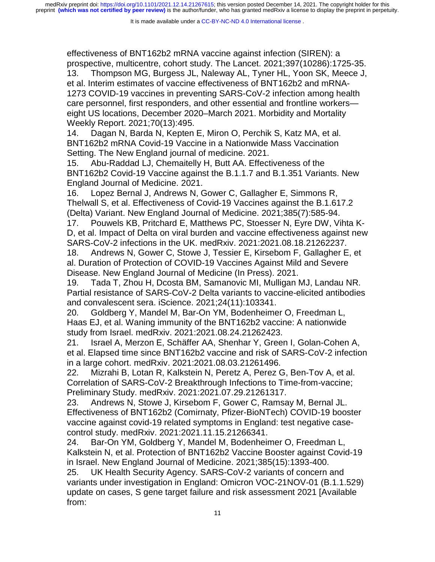It is made available under a CC-BY-NC-ND 4.0 International license.

effectiveness of BNT162b2 mRNA vaccine against infection (SIREN): a prospective, multicentre, cohort study. The Lancet. 2021;397(10286):1725-35. 13. Thompson MG, Burgess JL, Naleway AL, Tyner HL, Yoon SK, Meece J, et al. Interim estimates of vaccine effectiveness of BNT162b2 and mRNA-1273 COVID-19 vaccines in preventing SARS-CoV-2 infection among health care personnel, first responders, and other essential and frontline workers eight US locations, December 2020–March 2021. Morbidity and Mortality Weekly Report. 2021;70(13):495.

14. Dagan N, Barda N, Kepten E, Miron O, Perchik S, Katz MA, et al. BNT162b2 mRNA Covid-19 Vaccine in a Nationwide Mass Vaccination Setting. The New England journal of medicine. 2021.

15. Abu-Raddad LJ, Chemaitelly H, Butt AA. Effectiveness of the BNT162b2 Covid-19 Vaccine against the B.1.1.7 and B.1.351 Variants. New England Journal of Medicine. 2021.

16. Lopez Bernal J, Andrews N, Gower C, Gallagher E, Simmons R, Thelwall S, et al. Effectiveness of Covid-19 Vaccines against the B.1.617.2 (Delta) Variant. New England Journal of Medicine. 2021;385(7):585-94.

17. Pouwels KB, Pritchard E, Matthews PC, Stoesser N, Eyre DW, Vihta K-D, et al. Impact of Delta on viral burden and vaccine effectiveness against new SARS-CoV-2 infections in the UK. medRxiv. 2021:2021.08.18.21262237.

18. Andrews N, Gower C, Stowe J, Tessier E, Kirsebom F, Gallagher E, et al. Duration of Protection of COVID-19 Vaccines Against Mild and Severe Disease. New England Journal of Medicine (In Press). 2021.

19. Tada T, Zhou H, Dcosta BM, Samanovic MI, Mulligan MJ, Landau NR. Partial resistance of SARS-CoV-2 Delta variants to vaccine-elicited antibodies and convalescent sera. iScience. 2021;24(11):103341.

20. Goldberg Y, Mandel M, Bar-On YM, Bodenheimer O, Freedman L, Haas EJ, et al. Waning immunity of the BNT162b2 vaccine: A nationwide study from Israel. medRxiv. 2021:2021.08.24.21262423.

21. Israel A, Merzon E, Schäffer AA, Shenhar Y, Green I, Golan-Cohen A, et al. Elapsed time since BNT162b2 vaccine and risk of SARS-CoV-2 infection in a large cohort. medRxiv. 2021:2021.08.03.21261496.

22. Mizrahi B, Lotan R, Kalkstein N, Peretz A, Perez G, Ben-Tov A, et al. Correlation of SARS-CoV-2 Breakthrough Infections to Time-from-vaccine; Preliminary Study. medRxiv. 2021:2021.07.29.21261317.

23. Andrews N, Stowe J, Kirsebom F, Gower C, Ramsay M, Bernal JL. Effectiveness of BNT162b2 (Comirnaty, Pfizer-BioNTech) COVID-19 booster vaccine against covid-19 related symptoms in England: test negative casecontrol study. medRxiv. 2021:2021.11.15.21266341.

24. Bar-On YM, Goldberg Y, Mandel M, Bodenheimer O, Freedman L, Kalkstein N, et al. Protection of BNT162b2 Vaccine Booster against Covid-19 in Israel. New England Journal of Medicine. 2021;385(15):1393-400.

25. UK Health Security Agency. SARS-CoV-2 variants of concern and variants under investigation in England: Omicron VOC-21NOV-01 (B.1.1.529) update on cases, S gene target failure and risk assessment 2021 [Available from: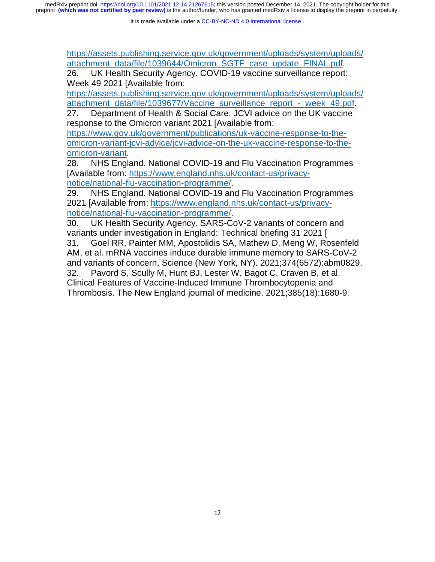https://assets.publishing.service.gov.uk/government/uploads/system/uploads/ attachment\_data/file/1039644/Omicron\_SGTF\_case\_update\_FINAL.pdf.

26. UK Health Security Agency. COVID-19 vaccine surveillance report: Week 49 2021 [Available from:

https://assets.publishing.service.gov.uk/government/uploads/system/uploads/ attachment\_data/file/1039677/Vaccine\_surveillance\_report\_-\_week\_49.pdf.

27. Department of Health & Social Care. JCVI advice on the UK vaccine response to the Omicron variant 2021 [Available from:

https://www.gov.uk/government/publications/uk-vaccine-response-to-theomicron-variant-jcvi-advice/jcvi-advice-on-the-uk-vaccine-response-to-theomicron-variant.

28. NHS England. National COVID-19 and Flu Vaccination Programmes [Available from: https://www.england.nhs.uk/contact-us/privacynotice/national-flu-vaccination-programme/.

29. NHS England. National COVID-19 and Flu Vaccination Programmes 2021 [Available from: https://www.england.nhs.uk/contact-us/privacynotice/national-flu-vaccination-programme/.

30. UK Health Security Agency. SARS-CoV-2 variants of concern and variants under investigation in England: Technical briefing 31 2021 [ 31. Goel RR, Painter MM, Apostolidis SA, Mathew D, Meng W, Rosenfeld AM, et al. mRNA vaccines induce durable immune memory to SARS-CoV-2 and variants of concern. Science (New York, NY). 2021;374(6572):abm0829. 32. Pavord S, Scully M, Hunt BJ, Lester W, Bagot C, Craven B, et al.

Clinical Features of Vaccine-Induced Immune Thrombocytopenia and Thrombosis. The New England journal of medicine. 2021;385(18):1680-9.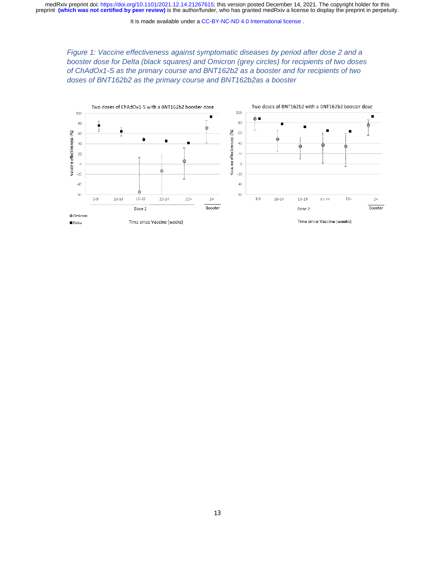It is made available under a CC-BY-NC-ND 4.0 International license.

*Figure 1: Vaccine effectiveness against symptomatic diseases by period after dose 2 and a booster dose for Delta (black squares) and Omicron (grey circles) for recipients of two doses of ChAdOx1-S as the primary course and BNT162b2 as a booster and for recipients of two doses of BNT162b2 as the primary course and BNT162b2as a booster* 

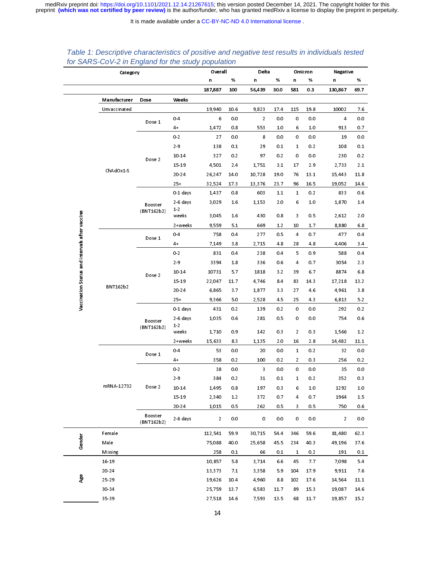medRxiv preprint doi: [https://doi.org/10.1101/2021.12.14.21267615;](https://doi.org/10.1101/2021.12.14.21267615) this version posted December 14, 2021. The copyright holder for this<br>preprint (which was not certified by peer review) is the author/funder, who has grante

It is made available under a [CC-BY-NC-ND 4.0 International license](http://creativecommons.org/licenses/by-nc-nd/4.0/) .

| Category                                       |                 | Overall               |                   |                | Delta   |                | Omicron |                | Negative |                |         |
|------------------------------------------------|-----------------|-----------------------|-------------------|----------------|---------|----------------|---------|----------------|----------|----------------|---------|
|                                                |                 |                       |                   | n              | $\%$    | n              | %       | n              | %        | n              | %       |
|                                                |                 |                       |                   | 187,887        | 100     | 56,439         | 30.0    | 581            | 0.3      | 130,867        | 69.7    |
|                                                | Manufacturer    | Dose                  | Weeks             |                |         |                |         |                |          |                |         |
|                                                | Unvaccinated    |                       |                   | 19,940         | 10.6    | 9,823          | 17.4    | 115            | 19.8     | 10002          | 7.6     |
|                                                |                 | Dose 1                | 0.4               | 6              | 0.0     | $\overline{2}$ | 0.0     | 0              | 0.0      | 4              | 0.0     |
|                                                |                 |                       | $4+$              | 1,472          | 0.8     | 553            | 1.0     | 6              | 1.0      | 913            | 0.7     |
|                                                |                 |                       | 0.2               | 27             | 0.0     | 8              | 0.0     | 0              | 0.0      | 19             | 0.0     |
|                                                |                 | Dose 2                | 2.9               | 138            | 0.1     | 29             | 0.1     | $\mathbf{1}$   | 0.2      | 108            | 0.1     |
|                                                |                 |                       | 10 14             | 327            | 0.2     | 97             | 0.2     | 0              | 0.0      | 230            | 0.2     |
|                                                |                 |                       | 15 19             | 4,501          | 2.4     | 1,751          | 3.1     | 17             | 2.9      | 2,733          | 2.1     |
|                                                | ChAdOx1S        |                       | 20-24             | 26,247         | 14.0    | 10,728         | 19.0    | 76             | 13.1     | 15,443         | 11.8    |
|                                                |                 |                       | $25+$             | 32,524         | 17.3    | 13,376         | 23.7    | 96             | 16.5     | 19,052         | 14.6    |
|                                                |                 | Booster<br>(BNT162b2) | $0.1$ days        | 1,437          | 0.8     | 603            | 1.1     | 1              | 0.2      | 833            | 0.6     |
|                                                |                 |                       | 2-6 days<br>$1-2$ | 3,029          | 1.6     | 1,153          | 2.0     | 6              | 1.0      | 1,870          | 14      |
|                                                |                 |                       | weeks             | 3,045          | 1.6     | 430            | 0.8     | 3              | 0.5      | 2,612          | 2.0     |
| Vaccination Status and intervals after vaccine |                 |                       | 2+weeks           | 9,559          | 5.1     | 669            | 1.2     | 10             | 1.7      | 8,880          | 6.8     |
|                                                |                 | Dose 1                | $0-4$             | 758            | 0.4     | 277            | 0.5     | 4              | 0.7      | 477            | 0.4     |
|                                                |                 |                       | $4+$              | 7.149          | 3.8     | 2,715          | 4.8     | 28             | 4.8      | 4,406          | 3.4     |
|                                                |                 | Dose 2                | 0.2               | 831            | 0.4     | 238            | 0.4     | 5              | 0.9      | 588            | 0.4     |
|                                                |                 |                       | $2 - 9$           | 3394           | 1.8     | 336            | 0.6     | 4              | 0.7      | 3054           | 2.3     |
|                                                | <b>BNT162b2</b> |                       | 10 14             | 10731          | 5.7     | 1818           | 3.2     | 39             | 6.7      | 8874           | 6.8     |
|                                                |                 |                       | $15 - 19$         | 22,047         | 117     | 4,746          | 8.4     | 83             | 14.3     | 17,218         | 13.2    |
|                                                |                 |                       | 20-24             | 6,865          | 3.7     | 1,877          | 3.3     | 27             | 4.6      | 4,961          | 3.8     |
|                                                |                 |                       | $25+$             | 9,366          | 5.0     | 2,528          | 4.5     | 25             | 4.3      | 6,813          | 5.2     |
|                                                |                 | Booster<br>(BNT162b2) | $0.1$ days        | 431            | 0.2     | 139            | 0.2     | 0              | 0.0      | 292            | 0.2     |
|                                                |                 |                       | $2 - 6$ days      | 1,035          | 0.6     | 281            | 0.5     | 0              | 0.0      | 754            | 0.6     |
|                                                |                 |                       | 1 <sub>2</sub>    |                |         |                |         |                |          |                |         |
|                                                |                 |                       | weeks             | 1,710          | 0.9     | 142            | 0.3     | $\overline{2}$ | 0.3      | 1,566          | 1.2     |
|                                                | mRNA 12732      | Dose 1                | 2+weeks           | 15,633         | 8.3     | 1,135          | 2.0     | 16             | 2.8      | 14,482         | 11.1    |
|                                                |                 |                       | $0-4$             | 53             | 0.0     | 20             | 0.0     | $\mathbf{1}$   | 0.2      | 32             | 0.0     |
|                                                |                 |                       | $4+$              | 358            | 0.2     | 100            | 0.2     | $\overline{2}$ | 0.3      | 256            | 0.2     |
|                                                |                 | Dose 2                | 0.2               | 38             | 0.0     | 3              | 0.0     | 0              | 0.0      | 35             | 0.0     |
|                                                |                 |                       | $2 - 9$           | 384            | 0.2     | 31             | 0.1     | $\mathbf{1}$   | 0.2      | 352            | 0.3     |
|                                                |                 |                       | 10 14             | 1,495          | 0.8     | 197            | 0.3     | 6              | $1.0\,$  | 1292           | 1.0     |
|                                                |                 |                       | 15 19             | 2,340          | $1.2\,$ | 372            | 0.7     | 4              | 0.7      | 1964           | $1.5\,$ |
|                                                |                 |                       | 20 24             | 1,015          | 0.5     | 262            | 0.5     | 3              | 0.5      | 750            | 0.6     |
|                                                |                 | Booster<br>(BNT162b2) | 2-6 days          | $\overline{2}$ | 0.0     | 0              | 0.0     | 0              | 0.0      | $\overline{2}$ | 0.0     |
| Gender                                         | Female          |                       |                   | 112,541        | 59.9    | 30,715         | 54.4    | 346            | 59.6     | 81,480         | 62.3    |
|                                                | Male            |                       |                   | 75,088         | 40.0    | 25,658         | 45.5    | 234            | 40.3     | 49,196         | 37.6    |
|                                                | <b>Missing</b>  |                       |                   | 258            | 0.1     | 66             | 0.1     | 1              | 0.2      | 191            | 0.1     |
| Age                                            | 16 19           |                       |                   | 10,857         | 5.8     | 3,714          | 6.6     | 45             | 7.7      | 7,098          | 5.4     |
|                                                | 20-24           |                       |                   | 13,373         | 7.1     | 3,358          | 5.9     | 104            | 17.9     | 9,911          | 7.6     |
|                                                | 25-29           |                       |                   | 19,626         | 10.4    | 4,960          | 8.8     | 102            | 17.6     | 14,564         | 11.1    |
|                                                | 30-34           |                       |                   | 25,759         | 13.7    | 6,583          | 11.7    | 89             | 15.3     | 19,087         | 14.6    |
|                                                | 35-39           |                       |                   | 27,518         | 14.6    | 7,593          | 13.5    | 68             | 11.7     | 19,857         | 15.2    |

# *Table 1: Descriptive characteristics of positive and negative test results in individuals tested for SARS-CoV-2 in England for the study population*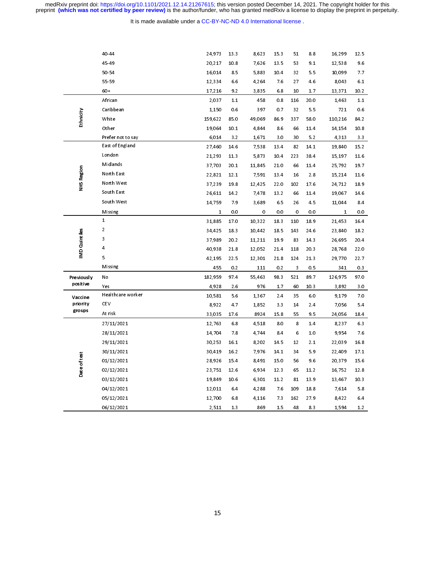It is made available under a [CC-BY-NC-ND 4.0 International license](http://creativecommons.org/licenses/by-nc-nd/4.0/) .

medRxiv preprint doi: [https://doi.org/10.1101/2021.12.14.21267615;](https://doi.org/10.1101/2021.12.14.21267615) this version posted December 14, 2021. The copyright holder for this<br>preprint (which was not certified by peer review) is the author/funder, who has grante

|                      | 40-44             | 24,973  | 13.3 | 8,623  | 15.3  | 51  | 8.8  | 16,299  | 12.5 |
|----------------------|-------------------|---------|------|--------|-------|-----|------|---------|------|
|                      | 45 49             | 20,217  | 10.8 | 7,626  | 13.5  | 53  | 9.1  | 12,538  | 9.6  |
|                      | 50-54             | 16,014  | 8.5  | 5,883  | 10.4  | 32  | 5.5  | 10,099  | 7.7  |
|                      | 55-59             | 12,334  | 6.6  | 4,264  | 7.6   | 27  | 4.6  | 8,043   | 6.1  |
|                      | 60+               | 17,216  | 9.2  | 3,835  | 6.8   | 10  | 17   | 13,371  | 10.2 |
| Ethnicity            | African           | 2,037   | 1.1  | 458    | 0.8   | 116 | 20.0 | 1,463   | 1.1  |
|                      | Caribbean         | 1,150   | 0.6  | 397    | 0.7   | 32  | 5.5  | 721     | 0.6  |
|                      | White             | 159,622 | 85.0 | 49,069 | 86.9  | 337 | 58.0 | 110,216 | 84.2 |
|                      | Other             | 19,064  | 10 1 | 4,844  | 8.6   | 66  | 11.4 | 14, 154 | 10.8 |
|                      | Prefer not to say | 6,014   | 3.2  | 1,671  | 3.0   | 30  | 5.2  | 4,313   | 3.3  |
|                      | East of England   | 27,460  | 14 6 | 7,538  | 134   | 82  | 14.1 | 19,840  | 15.2 |
|                      | London            | 21,293  | 11.3 | 5,873  | 10.4  | 223 | 38.4 | 15, 197 | 11.6 |
|                      | Midlands          | 37,703  | 20.1 | 11,845 | 210   | 66  | 11.4 | 25,792  | 197  |
| <b>NHS Region</b>    | North East        | 22,821  | 12.1 | 7,591  | 13.4  | 16  | 2.8  | 15,214  | 11.6 |
|                      | North West        | 37,239  | 19.8 | 12,425 | 22.0  | 102 | 17.6 | 24,712  | 18.9 |
|                      | South East        | 26,611  | 14.2 | 7,478  | 13.2  | 66  | 11.4 | 19,067  | 14.6 |
|                      | South West        | 14,759  | 7.9  | 3,689  | 6.5   | 26  | 4.5  | 11,044  | 8.4  |
|                      | <b>Missing</b>    | 1       | 0.0  | 0      | 0.0   | 0   | 0.0  | 1       | 0.0  |
|                      | $\mathbf{1}$      | 31,885  | 17.0 | 10,322 | 18.3  | 110 | 18.9 | 21,453  | 16.4 |
|                      | 2                 | 34,425  | 18.3 | 10,442 | 18.5  | 143 | 24.6 | 23,840  | 182  |
| <b>IMD Quintiles</b> | 3                 | 37,989  | 20.2 | 11,211 | 19.9  | 83  | 14.3 | 26,695  | 20.4 |
|                      | 4                 | 40,938  | 21.8 | 12,052 | 214   | 118 | 20.3 | 28,768  | 22.0 |
|                      | 5                 | 42, 195 | 22.5 | 12,301 | 218   | 124 | 21.3 | 29,770  | 22.7 |
|                      | Missing           | 455     | 0.2  | 111    | 0.2   | 3   | 0.5  | 341     | 0.3  |
| <b>Previously</b>    | No                | 182,959 | 974  | 55,463 | 98.3  | 521 | 89.7 | 126,975 | 97.0 |
| positive             | Yes               | 4,928   | 2.6  | 976    | 1.7   | 60  | 10.3 | 3,892   | 3.0  |
| Vaccine<br>priority  | Healthcare worker | 10,581  | 5.6  | 1,367  | 2.4   | 35  | 6.0  | 9,179   | 7.0  |
|                      | <b>CEV</b>        | 8,922   | 4.7  | 1,852  | 3.3   | 14  | 2.4  | 7,056   | 5.4  |
| groups               | At risk           | 33,035  | 17.6 | 8924   | 15.8  | 55  | 9.5  | 24,056  | 18.4 |
| Date of test         | 27/11/2021        | 12,763  | 6.8  | 4,518  | 8.0   | 8   | 1.4  | 8,237   | 6.3  |
|                      | 28/11/2021        | 14,704  | 7.8  | 4,744  | 8.4   | 6   | 1.0  | 9,954   | 7.6  |
|                      | 29/11/2021        | 30,253  | 16.1 | 8,202  | 14.5  | 12  | 2.1  | 22,039  | 16.8 |
|                      | 30/11/2021        | 30,419  | 16.2 | 7,976  | 14.1  | 34  | 5.9  | 22,409  | 17.1 |
|                      | 01/12/2021        | 28,926  | 15.4 | 8,491  | 15.0  | 56  | 9.6  | 20,379  | 15.6 |
|                      | 02/12/2021        | 23,751  | 12.6 | 6,934  | 12.3  | 65  | 11.2 | 16,752  | 12.8 |
|                      | 03/12/2021        | 19,849  | 10.6 | 6,301  | 11.2  | 81  | 13.9 | 13,467  | 10.3 |
|                      | 04/12/2021        | 12,011  | 6.4  | 4,288  | 7.6   | 109 | 18.8 | 7,614   | 5.8  |
|                      | 05/12/2021        | 12,700  | 6.8  | 4,116  | 7.3   | 162 | 27.9 | 8,422   | 6.4  |
|                      | 06/12/2021        | 2,511   | 1.3  | 869    | $1.5$ | 48  | 8.3  | 1,594   | 1.2  |